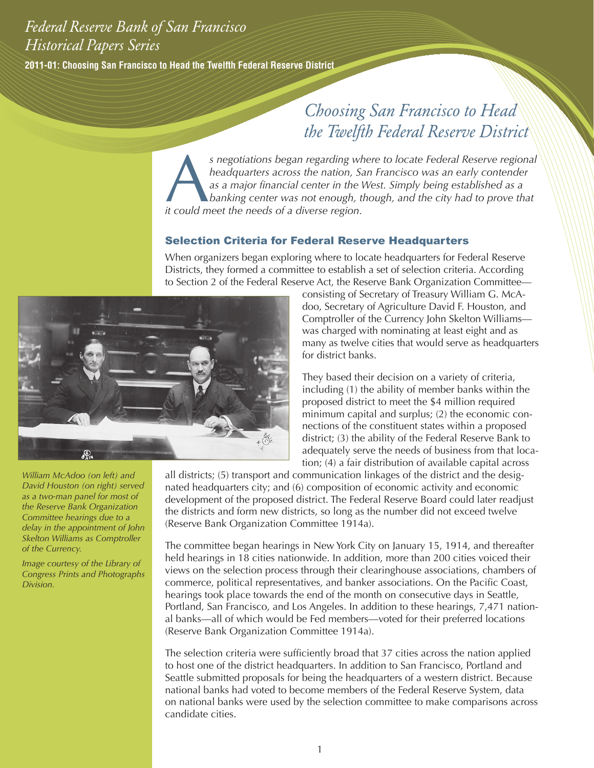# *Federal Reserve Bank of San Francisco Historical Papers Series*

**2011-01: Choosing San Francisco to Head the Twelfth Federal Reserve District**

# *Choosing San Francisco to Head the Twelfth Federal Reserve District*

 $s$  negotiations began regarding where to locate Federal Reserve regional *headquarters across the nation, San Francisco was an early contender as a major financial center in the West. Simply being established as a banking center was not enough, though, and the city had to prove that it could meet the needs of a diverse region.*

## Selection Criteria for Federal Reserve Headquarters

When organizers began exploring where to locate headquarters for Federal Reserve Districts, they formed a committee to establish a set of selection criteria. According to Section 2 of the Federal Reserve Act, the Reserve Bank Organization Committee—



consisting of Secretary of Treasury William G. McAdoo, Secretary of Agriculture David F. Houston, and Comptroller of the Currency John Skelton Williams was charged with nominating at least eight and as many as twelve cities that would serve as headquarters for district banks.

They based their decision on a variety of criteria, including (1) the ability of member banks within the proposed district to meet the \$4 million required minimum capital and surplus; (2) the economic connections of the constituent states within a proposed district; (3) the ability of the Federal Reserve Bank to adequately serve the needs of business from that location; (4) a fair distribution of available capital across

*William McAdoo (on left) and David Houston (on right) served as a two-man panel for most of the Reserve Bank Organization Committee hearings due to a delay in the appointment of John Skelton Williams as Comptroller of the Currency.* 

*Image courtesy of the Library of Congress Prints and Photographs Division.*

all districts; (5) transport and communication linkages of the district and the designated headquarters city; and (6) composition of economic activity and economic development of the proposed district. The Federal Reserve Board could later readjust the districts and form new districts, so long as the number did not exceed twelve (Reserve Bank Organization Committee 1914a).

The committee began hearings in New York City on January 15, 1914, and thereafter held hearings in 18 cities nationwide. In addition, more than 200 cities voiced their views on the selection process through their clearinghouse associations, chambers of commerce, political representatives, and banker associations. On the Pacific Coast, hearings took place towards the end of the month on consecutive days in Seattle, Portland, San Francisco, and Los Angeles. In addition to these hearings, 7,471 national banks—all of which would be Fed members—voted for their preferred locations (Reserve Bank Organization Committee 1914a).

The selection criteria were sufficiently broad that 37 cities across the nation applied to host one of the district headquarters. In addition to San Francisco, Portland and Seattle submitted proposals for being the headquarters of a western district. Because national banks had voted to become members of the Federal Reserve System, data on national banks were used by the selection committee to make comparisons across candidate cities.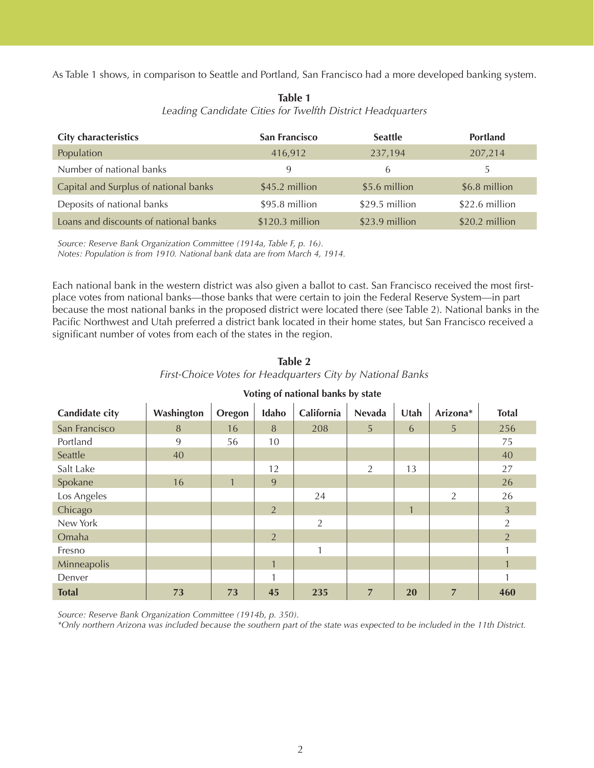As Table 1 shows, in comparison to Seattle and Portland, San Francisco had a more developed banking system.

| <b>City characteristics</b>           | <b>San Francisco</b> | <b>Seattle</b> | <b>Portland</b> |
|---------------------------------------|----------------------|----------------|-----------------|
| Population                            | 416,912              | 237,194        | 207,214         |
| Number of national banks              | 9                    | <sub>b</sub>   | 5.              |
| Capital and Surplus of national banks | \$45.2 million       | \$5.6 million  | \$6.8 million   |
| Deposits of national banks            | \$95.8 million       | \$29.5 million | \$22.6 million  |
| Loans and discounts of national banks | $$120.3$ million     | \$23.9 million | \$20.2 million  |

**Table 1** *Leading Candidate Cities for Twelfth District Headquarters*

*Source: Reserve Bank Organization Committee (1914a, Table F, p. 16).* 

*Notes: Population is from 1910. National bank data are from March 4, 1914.*

Each national bank in the western district was also given a ballot to cast. San Francisco received the most firstplace votes from national banks—those banks that were certain to join the Federal Reserve System—in part because the most national banks in the proposed district were located there (see Table 2). National banks in the Pacific Northwest and Utah preferred a district bank located in their home states, but San Francisco received a significant number of votes from each of the states in the region.

| Table 2                                                    |  |  |  |  |  |  |  |
|------------------------------------------------------------|--|--|--|--|--|--|--|
| First-Choice Votes for Headquarters City by National Banks |  |  |  |  |  |  |  |

| Candidate city | Washington | Oregon       | Idaho          | California     | <b>Nevada</b>  | Utah         | Arizona*       | <b>Total</b>   |
|----------------|------------|--------------|----------------|----------------|----------------|--------------|----------------|----------------|
| San Francisco  | 8          | 16           | 8              | 208            | 5              | 6            | 5              | 256            |
| Portland       | 9          | 56           | 10             |                |                |              |                | 75             |
| Seattle        | 40         |              |                |                |                |              |                | 40             |
| Salt Lake      |            |              | 12             |                | 2              | 13           |                | 27             |
| Spokane        | 16         | $\mathbf{1}$ | 9              |                |                |              |                | 26             |
| Los Angeles    |            |              |                | 24             |                |              | 2              | 26             |
| Chicago        |            |              | $\overline{2}$ |                |                | $\mathbf{1}$ |                | 3              |
| New York       |            |              |                | $\overline{2}$ |                |              |                | $\overline{2}$ |
| Omaha          |            |              | 2              |                |                |              |                | $\overline{2}$ |
| Fresno         |            |              |                | 1              |                |              |                |                |
| Minneapolis    |            |              | $\mathbf{1}$   |                |                |              |                | $\mathbf{1}$   |
| Denver         |            |              | 1              |                |                |              |                |                |
| <b>Total</b>   | 73         | 73           | 45             | 235            | $\overline{7}$ | <b>20</b>    | $\overline{7}$ | 460            |

#### **Voting of national banks by state**

*Source: Reserve Bank Organization Committee (1914b, p. 350).* 

*\*Only northern Arizona was included because the southern part of the state was expected to be included in the 11th District.*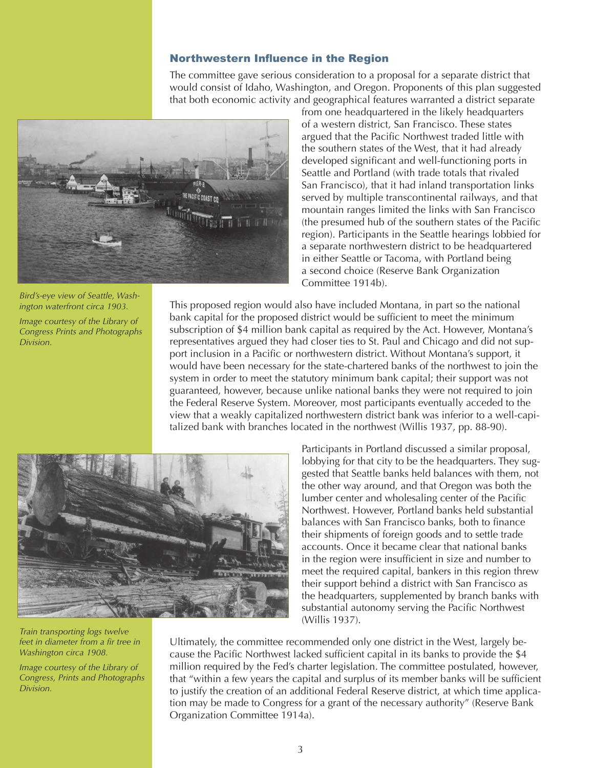#### Northwestern Influence in the Region

The committee gave serious consideration to a proposal for a separate district that would consist of Idaho, Washington, and Oregon. Proponents of this plan suggested that both economic activity and geographical features warranted a district separate



*Bird's-eye view of Seattle, Washington waterfront circa 1903.* 

*Image courtesy of the Library of Congress Prints and Photographs Division.* 

from one headquartered in the likely headquarters of a western district, San Francisco. These states argued that the Pacific Northwest traded little with the southern states of the West, that it had already developed significant and well-functioning ports in Seattle and Portland (with trade totals that rivaled San Francisco), that it had inland transportation links served by multiple transcontinental railways, and that mountain ranges limited the links with San Francisco (the presumed hub of the southern states of the Pacific region). Participants in the Seattle hearings lobbied for a separate northwestern district to be headquartered in either Seattle or Tacoma, with Portland being a second choice (Reserve Bank Organization Committee 1914b).

This proposed region would also have included Montana, in part so the national bank capital for the proposed district would be sufficient to meet the minimum subscription of \$4 million bank capital as required by the Act. However, Montana's representatives argued they had closer ties to St. Paul and Chicago and did not support inclusion in a Pacific or northwestern district. Without Montana's support, it would have been necessary for the state-chartered banks of the northwest to join the system in order to meet the statutory minimum bank capital; their support was not guaranteed, however, because unlike national banks they were not required to join the Federal Reserve System. Moreover, most participants eventually acceded to the view that a weakly capitalized northwestern district bank was inferior to a well-capitalized bank with branches located in the northwest (Willis 1937, pp. 88-90).



*Train transporting logs twelve feet in diameter from a fir tree in Washington circa 1908.*

*Image courtesy of the Library of Congress, Prints and Photographs Division.*

Participants in Portland discussed a similar proposal, lobbying for that city to be the headquarters. They suggested that Seattle banks held balances with them, not the other way around, and that Oregon was both the lumber center and wholesaling center of the Pacific Northwest. However, Portland banks held substantial balances with San Francisco banks, both to finance their shipments of foreign goods and to settle trade accounts. Once it became clear that national banks in the region were insufficient in size and number to meet the required capital, bankers in this region threw their support behind a district with San Francisco as the headquarters, supplemented by branch banks with substantial autonomy serving the Pacific Northwest (Willis 1937).

Ultimately, the committee recommended only one district in the West, largely because the Pacific Northwest lacked sufficient capital in its banks to provide the \$4 million required by the Fed's charter legislation. The committee postulated, however, that "within a few years the capital and surplus of its member banks will be sufficient to justify the creation of an additional Federal Reserve district, at which time application may be made to Congress for a grant of the necessary authority" (Reserve Bank Organization Committee 1914a).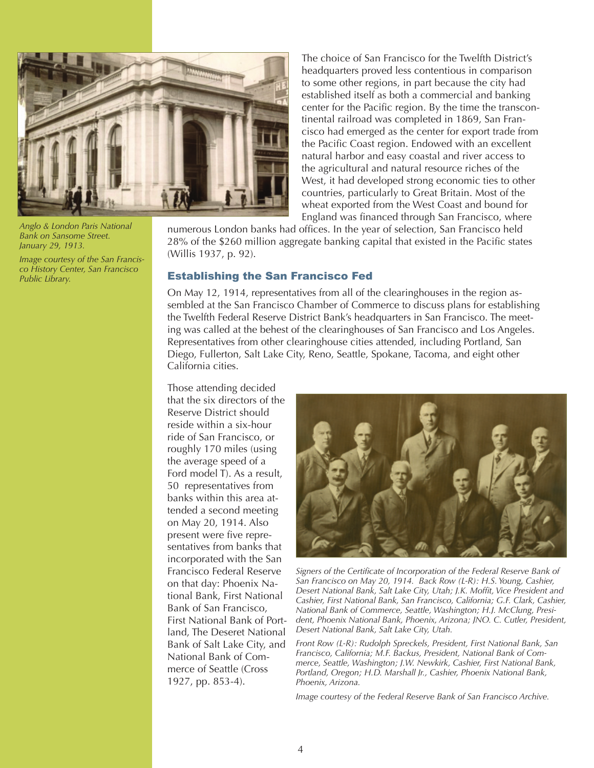

*Anglo & London Paris National Bank on Sansome Street. January 29, 1913.* 

*Image courtesy of the San Francisco History Center, San Francisco Public Library.*

The choice of San Francisco for the Twelfth District's headquarters proved less contentious in comparison to some other regions, in part because the city had established itself as both a commercial and banking center for the Pacific region. By the time the transcontinental railroad was completed in 1869, San Francisco had emerged as the center for export trade from the Pacific Coast region. Endowed with an excellent natural harbor and easy coastal and river access to the agricultural and natural resource riches of the West, it had developed strong economic ties to other countries, particularly to Great Britain. Most of the wheat exported from the West Coast and bound for England was financed through San Francisco, where

numerous London banks had offices. In the year of selection, San Francisco held 28% of the \$260 million aggregate banking capital that existed in the Pacific states (Willis 1937, p. 92).

### Establishing the San Francisco Fed

On May 12, 1914, representatives from all of the clearinghouses in the region assembled at the San Francisco Chamber of Commerce to discuss plans for establishing the Twelfth Federal Reserve District Bank's headquarters in San Francisco. The meeting was called at the behest of the clearinghouses of San Francisco and Los Angeles. Representatives from other clearinghouse cities attended, including Portland, San Diego, Fullerton, Salt Lake City, Reno, Seattle, Spokane, Tacoma, and eight other California cities.

Those attending decided that the six directors of the Reserve District should reside within a six-hour ride of San Francisco, or roughly 170 miles (using the average speed of a Ford model T). As a result, 50 representatives from banks within this area attended a second meeting on May 20, 1914. Also present were five representatives from banks that incorporated with the San Francisco Federal Reserve on that day: Phoenix National Bank, First National Bank of San Francisco, First National Bank of Portland, The Deseret National Bank of Salt Lake City, and National Bank of Commerce of Seattle (Cross 1927, pp. 853-4).



*Signers of the Certificate of Incorporation of the Federal Reserve Bank of San Francisco on May 20, 1914. Back Row (L-R): H.S. Young, Cashier, Desert National Bank, Salt Lake City, Utah; J.K. Moffit, Vice President and Cashier, First National Bank, San Francisco, California; G.F. Clark, Cashier, National Bank of Commerce, Seattle, Washington; H.J. McClung, President, Phoenix National Bank, Phoenix, Arizona; JNO. C. Cutler, President, Desert National Bank, Salt Lake City, Utah.*

*Front Row (L-R): Rudolph Spreckels, President, First National Bank, San Francisco, California; M.F. Backus, President, National Bank of Commerce, Seattle, Washington; J.W. Newkirk, Cashier, First National Bank, Portland, Oregon; H.D. Marshall Jr., Cashier, Phoenix National Bank, Phoenix, Arizona.* 

*Image courtesy of the Federal Reserve Bank of San Francisco Archive.*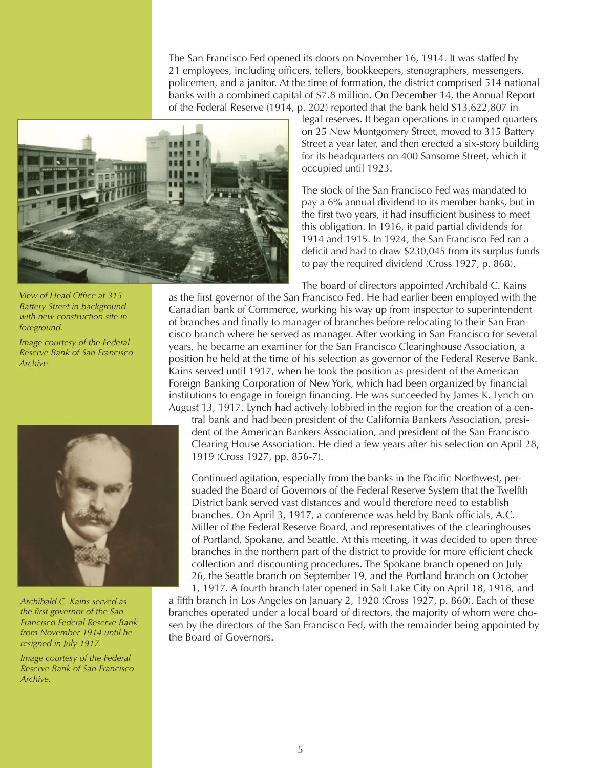The San Francisco Fed opened its doors on November 16, 1914. It was staffed by 21 employees, including officers, tellers, bookkeepers, stenographers, messengers, policemen, and a janitor. At the time of formation, the district comprised 514 national banks with a combined capital of \$7.8 million. On December 14, the Annual Report of the Federal Reserve (1914, p. 202) reported that the bank held \$13,622,807 in



*View of Head Office at 315 Battery Street in background with new construction site in foreground.*

*Image courtesy of the Federal Reserve Bank of San Francisco Archive*



*Archibald C. Kains served as the first governor of the San Francisco Federal Reserve Bank from November 1914 until he resigned in July 1917.* 

*Image courtesy of the Federal Reserve Bank of San Francisco Archive.*

legal reserves. It began operations in cramped quarters on 25 New Montgomery Street, moved to 315 Battery Street a year later, and then erected a six-story building for its headquarters on 400 Sansome Street, which it occupied until 1923.

The stock of the San Francisco Fed was mandated to pay a 6% annual dividend to its member banks, but in the first two years, it had insufficient business to meet this obligation. In 1916, it paid partial dividends for 1914 and 1915. In 1924, the San Francisco Fed ran a deficit and had to draw \$230,045 from its surplus funds to pay the required dividend (Cross 1927, p. 868).

The board of directors appointed Archibald C. Kains

as the first governor of the San Francisco Fed. He had earlier been employed with the Canadian bank of Commerce, working his way up from inspector to superintendent of branches and finally to manager of branches before relocating to their San Francisco branch where he served as manager. After working in San Francisco for several years, he became an examiner for the San Francisco Clearinghouse Association, a position he held at the time of his selection as governor of the Federal Reserve Bank. Kains served until 1917, when he took the position as president of the American Foreign Banking Corporation of New York, which had been organized by financial institutions to engage in foreign financing. He was succeeded by James K. Lynch on August 13, 1917. Lynch had actively lobbied in the region for the creation of a cen-

tral bank and had been president of the California Bankers Association, president of the American Bankers Association, and president of the San Francisco Clearing House Association. He died a few years after his selection on April 28, 1919 (Cross 1927, pp. 856-7).

Continued agitation, especially from the banks in the Pacific Northwest, persuaded the Board of Governors of the Federal Reserve System that the Twelfth District bank served vast distances and would therefore need to establish branches. On April 3, 1917, a conference was held by Bank officials, A.C. Miller of the Federal Reserve Board, and representatives of the clearinghouses of Portland, Spokane, and Seattle. At this meeting, it was decided to open three branches in the northern part of the district to provide for more efficient check collection and discounting procedures. The Spokane branch opened on July 26, the Seattle branch on September 19, and the Portland branch on October

1, 1917. A fourth branch later opened in Salt Lake City on April 18, 1918, and a fifth branch in Los Angeles on January 2, 1920 (Cross 1927, p. 860). Each of these branches operated under a local board of directors, the majority of whom were chosen by the directors of the San Francisco Fed, with the remainder being appointed by the Board of Governors.